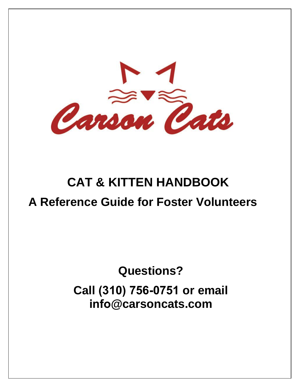

# **CAT & KITTEN HANDBOOK A Reference Guide for Foster Volunteers**

# **Questions? Call (310) 756-0751 or email info@carsoncats.com**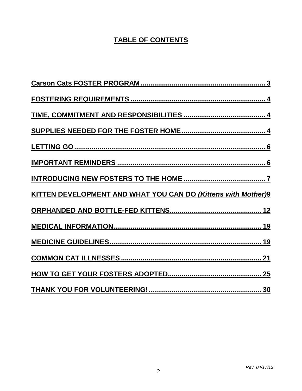# **TABLE OF CONTENTS**

| <b>KITTEN DEVELOPMENT AND WHAT YOU CAN DO (Kittens with Mother)9</b> |
|----------------------------------------------------------------------|
|                                                                      |
|                                                                      |
|                                                                      |
|                                                                      |
|                                                                      |
|                                                                      |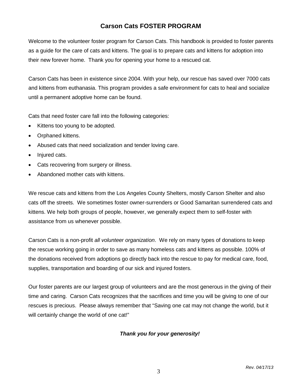# **Carson Cats FOSTER PROGRAM**

Welcome to the volunteer foster program for Carson Cats. This handbook is provided to foster parents as a guide for the care of cats and kittens. The goal is to prepare cats and kittens for adoption into their new forever home. Thank you for opening your home to a rescued cat.

Carson Cats has been in existence since 2004. With your help, our rescue has saved over 7000 cats and kittens from euthanasia. This program provides a safe environment for cats to heal and socialize until a permanent adoptive home can be found.

Cats that need foster care fall into the following categories:

- Kittens too young to be adopted.
- Orphaned kittens.
- Abused cats that need socialization and tender loving care.
- Injured cats.
- Cats recovering from surgery or illness.
- Abandoned mother cats with kittens.

We rescue cats and kittens from the Los Angeles County Shelters, mostly Carson Shelter and also cats off the streets. We sometimes foster owner-surrenders or Good Samaritan surrendered cats and kittens. We help both groups of people, however, we generally expect them to self-foster with assistance from us whenever possible.

Carson Cats is a non-profit *all volunteer organization*. We rely on many types of donations to keep the rescue working going in order to save as many homeless cats and kittens as possible. 100% of the donations received from adoptions go directly back into the rescue to pay for medical care, food, supplies, transportation and boarding of our sick and injured fosters.

Our foster parents are our largest group of volunteers and are the most generous in the giving of their time and caring. Carson Cats recognizes that the sacrifices and time you will be giving to one of our rescues is precious. Please always remember that "Saving one cat may not change the world, but it will certainly change the world of one cat!"

# *Thank you for your generosity!*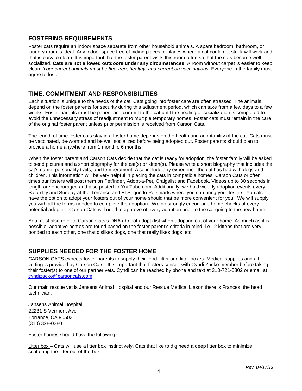# **FOSTERING REQUIREMENTS**

Foster cats require an indoor space separate from other household animals. A spare bedroom, bathroom, or laundry room is ideal. Any indoor space free of hiding places or places where a cat could get stuck will work and that is easy to clean. It is important that the foster parent visits this room often so that the cats become well socialized. **Cats are not allowed outdoors under any circumstances**. A room without carpet is easier to keep clean. *Your current animals must be flea-free, healthy, and current on vaccinations.* Everyone in the family must agree to foster.

# **TIME, COMMITMENT AND RESPONSIBILITIES**

Each situation is unique to the needs of the cat. Cats going into foster care are often stressed. The animals depend on the foster parents for security during this adjustment period, which can take from a few days to a few weeks. Foster parents must be patient and commit to the cat until the healing or socialization is completed to avoid the unnecessary stress of readjustment to multiple temporary homes. Foster cats must remain in the care of the original foster parent unless prior permission is received from Carson Cats.

The length of time foster cats stay in a foster home depends on the health and adoptability of the cat. Cats must be vaccinated, de-wormed and be well socialized before being adopted out. Foster parents should plan to provide a home anywhere from 1 month o 6 months.

When the foster parent and Carson Cats decide that the cat is ready for adoption, the foster family will be asked to send pictures and a short biography for the cat(s) or kitten(s). Please write a short biography that includes the cat's name, personality traits, and temperament. Also include any experience the cat has had with dogs and children. This information will be very helpful in placing the cats in compatible homes. Carson Cats or often times our fosters will post them on Petfinder, Adopt-a-Pet, Craigslist and Facebook. Videos up to 30 seconds in length are encouraged and also posted to YouTube.com. Additionally, we hold weekly adoption events every Saturday and Sunday at the Torrance and El Segundo Petsmarts where you can bring your fosters. You also have the option to adopt your fosters out of your home should that be more convenient for you. We will supply you with all the forms needed to complete the adoption. We do strongly encourage home checks of every potential adopter. Carson Cats will need to approve of every adoption prior to the cat going to the new home.

You must also refer to Carson Cats's DNA (do not adopt) list when adopting out of your home. As much as it is possible, adoptive homes are found based on the foster parent's criteria in mind, i.e.: 2 kittens that are very bonded to each other, one that dislikes dogs, one that really likes dogs, etc.

# **SUPPLIES NEEDED FOR THE FOSTER HOME**

CARSON CATS expects foster parents to supply their food, litter and litter boxes. Medical supplies and all vetting is provided by Carson Cats. It is important that fosters consult with Cyndi Zacko member before taking their foster(s) to one of our partner vets. Cyndi can be reached by phone and text at 310-721-5802 or email at [cyndizacko@carsoncats.com](mailto:cyndizacko@carsoncats.com)

Our main rescue vet is Jansens Animal Hospital and our Rescue Medical Liason there is Frances, the head technician.

Jansens Animal Hospital 22231 S Vermont Ave Torrance, CA 90502 (310) 328-0380

Foster homes should have the following:

Litter box – Cats will use a litter box instinctively. Cats that like to dig need a deep litter box to minimize scattering the litter out of the box.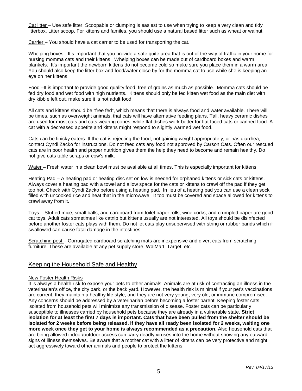Cat litter – Use safe litter. Scoopable or clumping is easiest to use when trying to keep a very clean and tidy litterbox. Litter scoop. For kittens and familes, you should use a natural based litter such as wheat or walnut.

Carrier – You should have a cat carrier to be used for transporting the cat.

Whelping boxes - It's important that you provide a safe quite area that is out of the way of traffic in your home for nursing momma cats and their kittens. Whelping boxes can be made out of cardboard boxes and warm blankets. It's important the newborn kittens do not become cold so make sure you place them in a warm area. You should also keep the litter box and food/water close by for the momma cat to use while she is keeping an eye on her kittens.

Food –It is important to provide good quality food, free of grains as much as possible. Momma cats should be fed dry food and wet food with high nutrients. Kittens should only be fed kitten wet food as the main diet with dry kibble left out, make sure it is not adult food.

All cats and kittens should be "free fed", which means that there is always food and water available. There will be times, such as overweight animals, that cats will have alternative feeding plans. Tall, heavy ceramic dishes are used for most cats and cats wearing cones, while flat dishes work better for flat faced cats or canned food. A cat with a decreased appetite and kittens might respond to slightly warmed wet food.

Cats can be finicky eaters. If the cat is rejecting the food, not gaining weight appropriately, or has diarrhea, contact Cyndi Zacko for instructions. Do not feed cats any food not approved by Carson Cats. Often our rescued cats are in poor health and proper nutrition gives them the help they need to become and remain healthy. Do not give cats table scraps or cow's milk.

Water – Fresh water in a clean bowl must be available at all times. This is especially important for kittens.

Heating Pad – A heating pad or heating disc set on low is needed for orphaned kittens or sick cats or kittens. Always cover a heating pad with a towel and allow space for the cats or kittens to crawl off the pad if they get too hot. Check with Cyndi Zacko before using a heating pad. In lieu of a heating pad you can use a clean sock filled with uncooked rice and heat that in the microwave. It too must be covered and space allowed for kittens to crawl away from it.

Toys – Stuffed mice, small balls, and cardboard from toilet paper rolls, wine corks, and crumpled paper are good cat toys. Adult cats sometimes like catnip but kittens usually are not interested. All toys should be disinfected before another foster cats plays with them. Do not let cats play unsupervised with string or rubber bands which if swallowed can cause fatal damage in the intestines.

Scratching post – Corrugated cardboard scratching mats are inexpensive and divert cats from scratching furniture. These are available at any pet supply store, WalMart, Target, etc.

# Keeping the Household Safe and Healthy

#### New Foster Health Risks

It is always a health risk to expose your pets to other animals. Animals are at risk of contracting an illness in the veterinarian's office, the city park, or the back yard. However, the health risk is minimal if your pet's vaccinations are current, they maintain a healthy life style, and they are not very young, very old, or immune compromised. Any concerns should be addressed by a veterinarian before becoming a foster parent. Keeping foster cats isolated from household pets will minimize any transmission of disease. Foster cats can be particularly susceptible to illnesses carried by household pets because they are already in a vulnerable state. **Strict isolation for at least the first 7 days is important. Cats that have been pulled from the shelter should be isolated for 2 weeks before being released. If they have all ready been isolated for 2 weeks, waiting one more week once they get to your home is always recommended as a precaution.** Also household cats that are being allowed indoor/outdoor access can carry deadly viruses into the home without showing any outward signs of illness themselves. Be aware that a mother cat with a litter of kittens can be very protective and might act aggressively toward other animals and people to protect the kittens.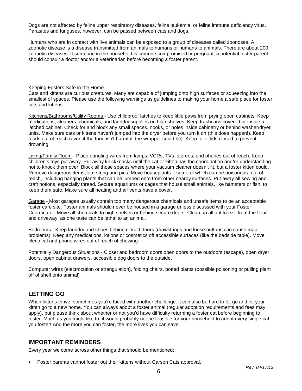Dogs are not affected by feline upper respiratory diseases, feline leukemia, or feline immune deficiency virus. Parasites and funguses, however, can be passed between cats and dogs.

Humans who are in contact with live animals can be exposed to a group of diseases called zoonoses. A zoonotic disease is a disease transmitted from animals to humans or humans to animals. There are about 200 zoonotic diseases. If someone in the household is immune compromised or pregnant, a potential foster parent should consult a doctor and/or a veterinarian before becoming a foster parent.

#### Keeping Fosters Safe in the Home

Cats and kittens are curious creatures. Many are capable of jumping onto high surfaces or squeezing into the smallest of spaces. Please use the following warnings as guidelines to making your home a safe place for foster cats and kittens.

Kitchens/Bathrooms/Utility Rooms - Use childproof latches to keep little paws from prying open cabinets. Keep medications, cleaners, chemicals, and laundry supplies on high shelves. Keep trashcans covered or inside a latched cabinet. Check for and block any small spaces, nooks, or holes inside cabinetry or behind washer/dryer units. Make sure cats or kittens haven't jumped into the dryer before you turn it on (this does happen!). Keep foods out of reach (even if the food isn't harmful, the wrapper could be). Keep toilet lids closed to prevent drowning.

Living/Family Room - Place dangling wires from lamps, VCRs, TVs, stereos, and phones out of reach. Keep children's toys put away. Put away knickknacks until the cat or kitten has the coordination and/or understanding not to knock them over. Block all those spaces where your vacuum cleaner doesn't fit, but a foster kitten could. Remove dangerous items, like string and pins. Move houseplants – some of which can be poisonous -out of reach, including hanging plants that can be jumped onto from other nearby surfaces. Put away all sewing and craft notions, especially thread. Secure aquariums or cages that house small animals, like hamsters or fish, to keep them safe. Make sure all heating and air vents have a cover.

Garage - Most garages usually contain too many dangerous chemicals and unsafe items to be an acceptable foster care site. Foster animals should never be housed in a garage unless discussed with your Foster Coordinator. Move all chemicals to high shelves or behind secure doors. Clean up all antifreeze from the floor and driveway, as one taste can be lethal to an animal.

Bedrooms - Keep laundry and shoes behind closed doors (drawstrings and loose buttons can cause major problems). Keep any medications, lotions or cosmetics off accessible surfaces (like the bedside table). Move electrical and phone wires out of reach of chewing.

Potentially Dangerous Situations - Closet and bedroom doors open doors to the outdoors (escape), open dryer doors, open cabinet drawers, accessible dog doors to the outside.

Computer wires (electrocution or strangulation), folding chairs, potted plants (possible poisoning or pulling plant off of shelf onto animal)

# **LETTING GO**

When kittens thrive, sometimes you're faced with another challenge: it can also be hard to let go and let your kitten go to a new home. You can always adopt a foster animal (regular adoption requirements and fees may apply), but please think about whether or not you'd have difficulty returning a foster cat before beginning to foster. Much as you might like to, it would probably not be feasible for your household to adopt every single cat you foster! And the more you can foster, the more lives you can save!

# **IMPORTANT REMINDERS**

Every year we come across other things that should be mentioned:

• Foster parents cannot foster out their kittens without Carson Cats approval.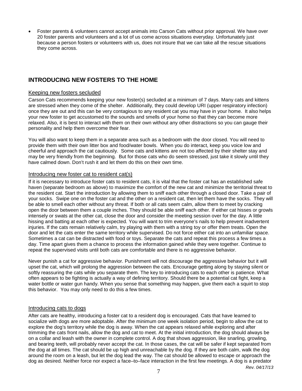• Foster parents & volunteers cannot accept animals into Carson Cats without prior approval. We have over 20 foster parents and volunteers and a lot of us come across situations everyday. Unfortunately just because a person fosters or volunteers with us, does not insure that we can take all the rescue situations they come across.

# **INTRODUCING NEW FOSTERS TO THE HOME**

#### Keeping new fosters secluded

Carson Cats recommends keeping your new foster(s) secluded at a minimum of 7 days. Many cats and kittens are stressed when they come of the shelter. Additionally, they could develop URI (upper respiratory infection) once they are out and this can be very contagious to any resident cat you may have in your home. It also helps your new foster to get accustomed to the sounds and smells of your home so that they can become more relaxed. Also, it is best to interact with them on their own without any other distractions so you can gauge their personality and help them overcome their fear.

You will also want to keep them in a separate area such as a bedroom with the door closed. You will need to provide them with their own litter box and food/water bowls. When you do interact, keep you voice low and cheerful and approach the cat cautiously. Some cats and kittens are not too affected by their shelter stay and may be very friendly from the beginning. But for those cats who do seem stressed, just take it slowly until they have calmed down. Don't rush it and let them do this on their own time.

#### Introducing new foster cat to resident cat(s)

If it is necessary to introduce foster cats to resident cats, it is vital that the foster cat has an established safe haven (separate bedroom as above) to maximize the comfort of the new cat and minimize the territorial threat to the resident cat. Start the introduction by allowing them to sniff each other through a closed door. Take a pair of your socks. Swipe one on the foster cat and the other on a resident cat, then let them have the socks. They will be able to smell each other without any threat. If both or all cats seem calm, allow them to meet by cracking open the door between them a couple inches. They should be able sniff each other. If either cat hisses or growls intensely or swats at the other cat, close the door and consider the meeting session over for the day. A little hissing and batting at each other is expected. You will want to trim everyone's nails to help prevent inadvertent injuries. If the cats remain relatively calm, try playing with them with a string toy or offer them treats. Open the door and let the cats enter the same territory while supervised. Do not force either cat into an unfamiliar space. Sometimes a cat can be distracted with food or toys. Separate the cats and repeat this process a few times a day. Time apart gives them a chance to process the information gained while they were together. Continue to repeat the supervised visits until both cats are comfortable and there is no aggressive behavior.

Never punish a cat for aggressive behavior. Punishment will not discourage the aggressive behavior but it will upset the cat, which will prolong the aggression between the cats. Encourage getting along by staying silent or softly reassuring the cats while you separate them. The key to introducing cats to each other is patience. What often appears to be fighting is actually a way of defining territory. Should there be a potential cat fight, keep a water bottle or water gun handy. When you sense that something may happen, give them each a squirt to stop this behavior. You may only need to do this a few times.

## Introducing cats to dogs

After cats are healthy, introducing a foster cat to a resident dog is encouraged. Cats that have learned to socialize with dogs are more adoptable. After the minimum one week isolation period, begin to allow the cat to explore the dog's territory while the dog is away. When the cat appears relaxed while exploring and after trimming the cats front nails, allow the dog and cat to meet. At the initial introduction, the dog should always be on a collar and leash with the owner in complete control. A dog that shows aggression, like snarling, growling, and bearing teeth, will probably never accept the cat. In those cases, the cat will be safer if kept separated from the dog at all times. The cat should be up high and unreachable by the dog. If they are both calm, walk the dog around the room on a leash, but let the dog lead the way. The cat should be allowed to escape or approach the dog as desired. Neither force nor expect a face–to–face interaction in the first few meetings. A dog is a predator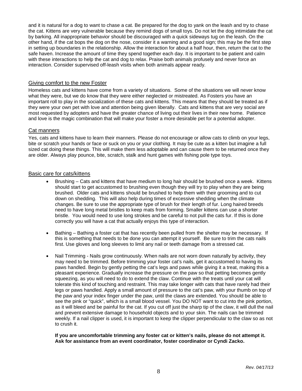and it is natural for a dog to want to chase a cat. Be prepared for the dog to yank on the leash and try to chase the cat. Kittens are very vulnerable because they remind dogs of small toys. Do not let the dog intimidate the cat by barking. All inappropriate behavior should be discouraged with a quick sideways tug on the leash. On the other hand, if the cat bops the dog on the nose, consider it a warning and a good sign; this may be the first step in setting up boundaries in the relationship. Allow the interaction for about a half hour, then, return the cat to the safe haven. Increase the amount of time they spend together each day. It is important to be patient and calm with these interactions to help the cat and dog to relax. Praise both animals profusely and never force an interaction. Consider supervised off-leash visits when both animals appear ready.

#### Giving comfort to the new Foster

Homeless cats and kittens have come from a variety of situations. Some of the situations we will never know what they were, but we do know that they were either neglected or mistreated. As Fosters you have an important roll to play in the socialization of these cats and kittens. This means that they should be treated as if they were your own pet with love and attention being given liberally. Cats and kittens that are very social are most requested by adopters and have the greater chance of living out their lives in their new home. Patience and love is the magic combination that will make your foster a more desirable pet for a potential adopter.

## Cat manners

Yes, cats and kittens have to learn their manners. Please do not encourage or allow cats to climb on your legs, bite or scratch your hands or face or suck on you or your clothing. It may be cute as a kitten but imagine a full sized cat doing these things. This will make them less adoptable and can cause them to be returned once they are older. Always play pounce, bite, scratch, stalk and hunt games with fishing pole type toys.

#### Basic care for cats/kittens

- Brushing Cats and kittens that have medium to long hair should be brushed once a week. Kittens should start to get accustomed to brushing even though they will try to play when they are being brushed. Older cats and kittens should be brushed to help them with their grooming and to cut down on shedding. This will also help during times of excessive shedding when the climate changes. Be sure to use the appropriate type of brush for their length of fur. Long haired breeds need to have long metal bristles to keep mats from forming. Smaller kittens can use a shorter bristle. You would need to use long strokes and be careful to not pull the cats fur. If this is done correctly you will have a cat that actually enjoys this type of interaction.
- Bathing Bathing a foster cat that has recently been pulled from the shelter may be necessary. If this is something that needs to be done you can attempt it yourself. Be sure to trim the cats nails first. Use gloves and long sleeves to limit any nail or teeth damage from a stressed cat.
- Nail Trimming Nails grow continuously. When nails are not worn down naturally by activity, they may need to be trimmed. Before trimming your foster cat's nails, get it accustomed to having its paws handled. Begin by gently petting the cat's legs and paws while giving it a treat, making this a pleasant experience. Gradually increase the pressure on the paw so that petting becomes gently squeezing, as you will need to do to extend the claw. Continue with the treats until your cat will tolerate this kind of touching and restraint. This may take longer with cats that have rarely had their legs or paws handled. Apply a small amount of pressure to the cat's paw, with your thumb on top of the paw and your index finger under the paw, until the claws are extended. You should be able to see the pink or "quick", which is a small blood vessel. You DO NOT want to cut into the pink portion, as it will bleed and be painful for the cat. If you cut off just the sharp tip of the claw, it will dull the nail and prevent extensive damage to household objects and to your skin. The nails can be trimmed weekly. If a nail clipper is used, it is important to keep the clipper perpendicular to the claw so as not to crush it.

#### **If you are uncomfortable trimming any foster cat or kitten's nails, please do not attempt it. Ask for assistance from an event coordinator, foster coordinator or Cyndi Zacko.**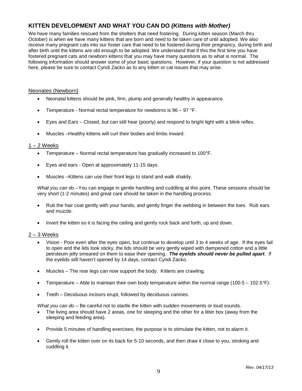# **KITTEN DEVELOPMENT AND WHAT YOU CAN DO** *(Kittens with Mother)*

We have many families rescued from the shelters that need fostering. During kitten season (March thru October) is when we have many kittens that are born and need to be taken care of until adopted. We also receive many pregnant cats into our foster care that need to be fostered during their pregnancy, during birth and after birth until the kittens are old enough to be adopted. We understand that if this the first time you have fostered pregnant cats and newborn kittens that you may have many questions as to what is normal. The following information should answer some of your basic questions. However, if your question is not addressed here, please be sure to contact Cyndi Zacko as to any kitten or cat issues that may arise.

## Neonates (Newborn)

- Neonatal kittens should be pink, firm, plump and generally healthy in appearance.
- Temperature Normal rectal temperature for newborns is  $96 97$  °F.
- Eyes and Ears Closed, but can still hear (poorly) and respond to bright light with a blink reflex.
- Muscles –Healthy kittens will curl their bodies and limbs inward.

#### $1 - 2$  Weeks

- Temperature Normal rectal temperature has gradually increased to 100°F.
- Eyes and ears Open at approximately 11-15 days.
- Muscles –Kittens can use their front legs to stand and walk shakily.

*What you can do* –You can engage in gentle handling and cuddling at this point. These sessions should be very short (1-2 minutes) and great care should be taken in the handling process.

- Rub the hair coat gently with your hands, and gently finger the webbing in between the toes. Rub ears and muzzle.
- Invert the kitten so it is facing the ceiling and gently rock back and forth, up and down.

## $2 - 3$  Weeks

- Vision Poor even after the eyes open, but continue to develop until 3 to 4 weeks of age. If the eyes fail to open and the lids look sticky, the lids should be very gently wiped with dampened cotton and a little petroleum jelly smeared on them to ease their opening. *The eyelids should never be pulled apart*. If the eyelids still haven't opened by 14 days, contact Cyndi Zacko.
- Muscles The rear legs can now support the body. Kittens are crawling.
- Temperature Able to maintain their own body temperature within the normal range (100.5 102.5 $\degree$ F).
- Teeth Deciduous incisors erupt, followed by deciduous canines.

*What you can do* – Be careful not to startle the kitten with sudden movements or loud sounds.

- The living area should have 2 areas, one for sleeping and the other for a litter box (away from the sleeping and feeding area).
- Provide 5 minutes of handling exercises; the purpose is to stimulate the kitten, not to alarm it.
- Gently roll the kitten over on its back for 5-10 seconds, and then draw it close to you, stroking and cuddling it.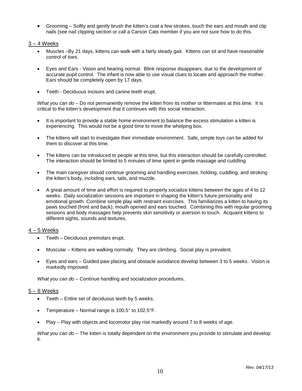• Grooming – Softly and gently brush the kitten's coat a few strokes, touch the ears and mouth and clip nails (see nail clipping section or call a Carson Cats member if you are not sure how to do this.

# $3 - 4$  Weeks

- Muscles –By 21 days, kittens can walk with a fairly steady gait. Kittens can sit and have reasonable control of toes.
- Eyes and Ears Vision and hearing normal. Blink response disappears, due to the development of accurate pupil control. The infant is now able to use visual clues to locate and approach the mother. Ears should be completely open by 17 days.
- Teeth Deciduous incisors and canine teeth erupt.

*What you can do* – Do not permanently remove the kitten from its mother or littermates at this time. It is critical to the kitten's development that it continues with this social interaction.

- It is important to provide a stable home environment to balance the excess stimulation a kitten is experiencing. This would not be a good time to move the whelping box.
- The kittens will start to investigate their immediate environment. Safe, simple toys can be added for them to discover at this time.
- The kittens can be introduced to people at this time, but this interaction should be carefully controlled. The interaction should be limited to 5 minutes of time spent in gentle massage and cuddling.
- The main caregiver should continue grooming and handling exercises: holding, cuddling, and stroking the kitten's body, including ears, tails, and muzzle.
- A great amount of time and effort is required to properly socialize kittens between the ages of 4 to 12 weeks. Daily socialization sessions are important in shaping the kitten's future personality and emotional growth. Combine simple play with restraint exercises. This familiarizes a kitten to having its paws touched (front and back), mouth opened and ears touched. Combining this with regular grooming sessions and body massages help prevents skin sensitivity or aversion to touch. Acquaint kittens to different sights, sounds and textures.

## 4 – 5 Weeks

- Teeth Deciduous premolars erupt.
- Muscular Kittens are walking normally. They are climbing. Social play is prevalent.
- Eyes and ears Guided paw placing and obstacle avoidance develop between 3 to 5 weeks. Vision is markedly improved.

*What you can do* – Continue handling and socialization procedures.

## 5 – 8 Weeks

- Teeth Entire set of deciduous teeth by 5 weeks.
- Temperature Normal range is 100.5° to 102.5°F.
- Play Play with objects and locomotor play rise markedly around 7 to 8 weeks of age.

*What you can do* – The kitten is totally dependent on the environment you provide to stimulate and develop it.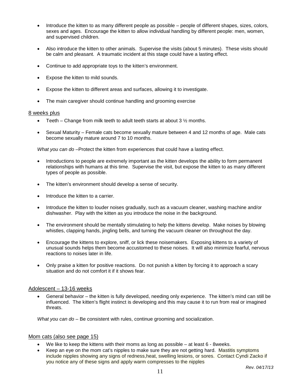- Introduce the kitten to as many different people as possible people of different shapes, sizes, colors, sexes and ages. Encourage the kitten to allow individual handling by different people: men, women, and supervised children.
- Also introduce the kitten to other animals. Supervise the visits (about 5 minutes). These visits should be calm and pleasant. A traumatic incident at this stage could have a lasting effect.
- Continue to add appropriate toys to the kitten's environment.
- Expose the kitten to mild sounds.
- Expose the kitten to different areas and surfaces, allowing it to investigate.
- The main caregiver should continue handling and grooming exercise

#### 8 weeks plus

- Teeth Change from milk teeth to adult teeth starts at about  $3\frac{1}{2}$  months.
- Sexual Maturity Female cats become sexually mature between 4 and 12 months of age. Male cats become sexually mature around 7 to 10 months.

*What you can do* –Protect the kitten from experiences that could have a lasting effect.

- Introductions to people are extremely important as the kitten develops the ability to form permanent relationships with humans at this time. Supervise the visit, but expose the kitten to as many different types of people as possible.
- The kitten's environment should develop a sense of security.
- Introduce the kitten to a carrier.
- Introduce the kitten to louder noises gradually, such as a vacuum cleaner, washing machine and/or dishwasher. Play with the kitten as you introduce the noise in the background.
- The environment should be mentally stimulating to help the kittens develop. Make noises by blowing whistles, clapping hands, jingling bells, and turning the vacuum cleaner on throughout the day.
- Encourage the kittens to explore, sniff, or lick these noisemakers. Exposing kittens to a variety of unusual sounds helps them become accustomed to these noises. It will also minimize fearful, nervous reactions to noises later in life.
- Only praise a kitten for positive reactions. Do not punish a kitten by forcing it to approach a scary situation and do not comfort it if it shows fear.

#### Adolescent – 13-16 weeks

• General behavior – the kitten is fully developed, needing only experience. The kitten's mind can still be influenced. The kitten's flight instinct is developing and this may cause it to run from real or imagined threats.

*What you can do* – Be consistent with rules, continue grooming and socialization.

#### Mom cats (also see page 15)

- We like to keep the kittens with their moms as long as possible  $-$  at least  $6$  8weeks.
- Keep an eye on the mom cat's nipples to make sure they are not getting hard. Mastitis symptoms include nipples showing any signs of redness,heat, swelling lesions, or sores. Contact Cyndi Zacko if you notice any of these signs and apply warm compresses to the nipples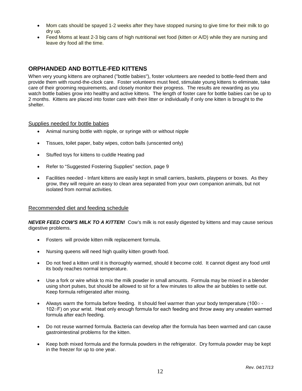- Mom cats should be spayed 1-2 weeks after they have stopped nursing to give time for their milk to go dry up.
- Feed Moms at least 2-3 big cans of high nutritional wet food (kitten or A/D) while they are nursing and leave dry food all the time.

# **ORPHANDED AND BOTTLE-FED KITTENS**

When very young kittens are orphaned ("bottle babies"), foster volunteers are needed to bottle-feed them and provide them with round-the-clock care. Foster volunteers must feed, stimulate young kittens to eliminate, take care of their grooming requirements, and closely monitor their progress. The results are rewarding as you watch bottle babies grow into healthy and active kittens. The length of foster care for bottle babies can be up to 2 months. Kittens are placed into foster care with their litter or individually if only one kitten is brought to the shelter.

## Supplies needed for bottle babies

- Animal nursing bottle with nipple, or syringe with or without nipple
- Tissues, toilet paper, baby wipes, cotton balls (unscented only)
- Stuffed toys for kittens to cuddle Heating pad
- Refer to "Suggested Fostering Supplies" section, page 9
- Facilities needed Infant kittens are easily kept in small carriers, baskets, playpens or boxes. As they grow, they will require an easy to clean area separated from your own companion animals, but not isolated from normal activities.

#### Recommended diet and feeding schedule

*NEVER FEED COW'S MILK TO A KITTEN!* Cow's milk is not easily digested by kittens and may cause serious digestive problems.

- Fosters will provide kitten milk replacement formula.
- Nursing queens will need high quality kitten growth food.
- Do not feed a kitten until it is thoroughly warmed, should it become cold. It cannot digest any food until its body reaches normal temperature.
- Use a fork or wire whisk to mix the milk powder in small amounts. Formula may be mixed in a blender using short pulses, but should be allowed to sit for a few minutes to allow the air bubbles to settle out. Keep formula refrigerated after mixing.
- Always warm the formula before feeding. It should feel warmer than your body temperature (100○ 102○F) on your wrist. Heat only enough formula for each feeding and throw away any uneaten warmed formula after each feeding.
- Do not reuse warmed formula. Bacteria can develop after the formula has been warmed and can cause gastrointestinal problems for the kitten.
- Keep both mixed formula and the formula powders in the refrigerator. Dry formula powder may be kept in the freezer for up to one year.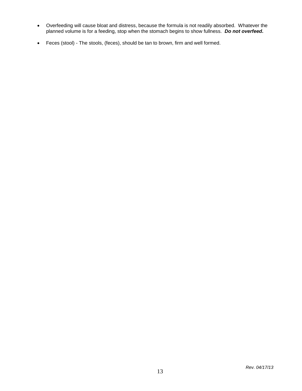- Overfeeding will cause bloat and distress, because the formula is not readily absorbed. Whatever the planned volume is for a feeding, stop when the stomach begins to show fullness. *Do not overfeed.*
- Feces (stool) The stools, (feces), should be tan to brown, firm and well formed.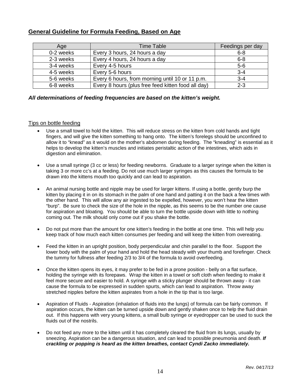| Age       | <b>Time Table</b>                                  | Feedings per day |
|-----------|----------------------------------------------------|------------------|
| 0-2 weeks | Every 3 hours, 24 hours a day                      | $6 - 8$          |
| 2-3 weeks | Every 4 hours, 24 hours a day                      | $6 - 8$          |
| 3-4 weeks | Every 4-5 hours                                    | $5 - 6$          |
| 4-5 weeks | Every 5-6 hours                                    | $3 - 4$          |
| 5-6 weeks | Every 6 hours, from morning until 10 or 11 p.m.    | $3 - 4$          |
| 6-8 weeks | Every 8 hours (plus free feed kitten food all day) | $2 - 3$          |

# **General Guideline for Formula Feeding, Based on Age**

#### *All determinations of feeding frequencies are based on the kitten's weight.*

#### Tips on bottle feeding

- Use a small towel to hold the kitten. This will reduce stress on the kitten from cold hands and tight fingers, and will give the kitten something to hang onto. The kitten's forelegs should be unconfined to allow it to "knead" as it would on the mother's abdomen during feeding. The "kneading" is essential as it helps to develop the kitten's muscles and initiates peristaltic action of the intestines, which aids in digestion and elimination.
- Use a small syringe (3 cc or less) for feeding newborns. Graduate to a larger syringe when the kitten is taking 3 or more cc's at a feeding. Do not use much larger syringes as this causes the formula to be drawn into the kittens mouth too quickly and can lead to aspiration.
- An animal nursing bottle and nipple may be used for larger kittens. If using a bottle, gently burp the kitten by placing it in on its stomach in the palm of one hand and patting it on the back a few times with the other hand. This will allow any air ingested to be expelled, however, you won't hear the kitten "burp". Be sure to check the size of the hole in the nipple, as this seems to be the number one cause for aspiration and bloating. You should be able to turn the bottle upside down with little to nothing coming out. The milk should only come out if you shake the bottle.
- Do not put more than the amount for one kitten's feeding in the bottle at one time. This will help you keep track of how much each kitten consumes per feeding and will keep the kitten from overeating.
- Feed the kitten in an upright position, body perpendicular and chin parallel to the floor. Support the lower body with the palm of your hand and hold the head steady with your thumb and forefinger. Check the tummy for fullness after feeding 2/3 to 3/4 of the formula to avoid overfeeding.
- Once the kitten opens its eyes, it may prefer to be fed in a prone position belly on a flat surface, holding the syringe with its forepaws. Wrap the kitten in a towel or soft cloth when feeding to make it feel more secure and easier to hold. A syringe with a sticky plunger should be thrown away - it can cause the formula to be expressed in sudden spurts, which can lead to aspiration. Throw away stretched nipples before the kitten aspirates from a hole in the tip that is too large.
- Aspiration of Fluids Aspiration (inhalation of fluids into the lungs) of formula can be fairly common. If aspiration occurs, the kitten can be turned upside down and gently shaken once to help the fluid drain out. If this happens with very young kittens, a small bulb syringe or eyedropper can be used to suck the fluids out of the nostrils.
- Do not feed any more to the kitten until it has completely cleared the fluid from its lungs, usually by sneezing. Aspiration can be a dangerous situation, and can lead to possible pneumonia and death. *If crackling or popping is heard as the kitten breathes, contact Cyndi Zacko immediately.*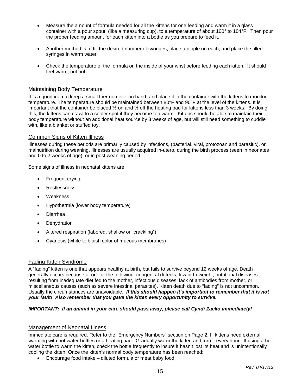- Measure the amount of formula needed for all the kittens for one feeding and warm it in a glass container with a pour spout, (like a measuring cup), to a temperature of about 100° to 104°F. Then pour the proper feeding amount for each kitten into a bottle as you prepare to feed it.
- Another method is to fill the desired number of syringes, place a nipple on each, and place the filled syringes in warm water.
- Check the temperature of the formula on the inside of your wrist before feeding each kitten. It should feel warm, not hot.

#### Maintaining Body Temperature

It is a good idea to keep a small thermometer on hand, and place it in the container with the kittens to monitor temperature. The temperature should be maintained between 80°F and 90°F at the level of the kittens. It is important that the container be placed  $\frac{1}{2}$  on and  $\frac{1}{2}$  off the heating pad for kittens less than 3 weeks. By doing this, the kittens can crawl to a cooler spot if they become too warm. Kittens should be able to maintain their body temperature without an additional heat source by 3 weeks of age, but will still need something to cuddle with, like a blanket or stuffed toy.

#### Common Signs of Kitten Illness

Illnesses during these periods are primarily caused by infections, (bacterial, viral, protozoan and parasitic), or malnutrition during weaning. Illnesses are usually acquired in-utero, during the birth process (seen in neonates and 0 to 2 weeks of age), or in post weaning period.

Some signs of illness in neonatal kittens are:

- Frequent crying
- **Restlessness**
- Weakness
- Hypothermia (lower body temperature)
- Diarrhea
- Dehydration
- Altered respiration (labored, shallow or "crackling")
- Cyanosis (white to bluish color of mucous membranes)

#### Fading Kitten Syndrome

A "fading" kitten is one that appears healthy at birth, but fails to survive beyond 12 weeks of age. Death generally occurs because of one of the following: congenital defects, low birth weight, nutritional diseases resulting from inadequate diet fed to the mother, infectious diseases, lack of antibodies from mother, or miscellaneous causes (such as severe intestinal parasites). Kitten death due to "fading" is not uncommon. Usually the circumstances are unavoidable. *If this should happen it's important to remember that it is not your fault! Also remember that you gave the kitten every opportunity to survive.*

#### *IMPORTANT: If an animal in your care should pass away, please call Cyndi Zacko immediately!*

# Management of Neonatal Illness

Immediate care is required. Refer to the "Emergency Numbers" section on Page 2. Ill kittens need external warming with hot water bottles or a heating pad. Gradually warm the kitten and turn it every hour. If using a hot water bottle to warm the kitten, check the bottle frequently to insure it hasn't lost its heat and is unintentionally cooling the kitten. Once the kitten's normal body temperature has been reached:

• Encourage food intake – diluted formula or meat baby food.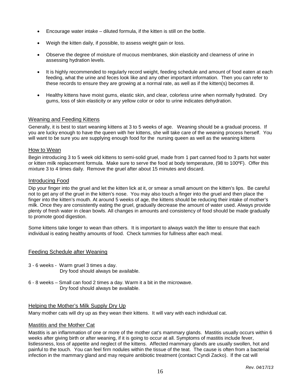- Encourage water intake diluted formula, if the kitten is still on the bottle.
- Weigh the kitten daily, if possible, to assess weight gain or loss.
- Observe the degree of moisture of mucous membranes, skin elasticity and clearness of urine in assessing hydration levels.
- It is highly recommended to regularly record weight, feeding schedule and amount of food eaten at each feeding, what the urine and feces look like and any other important information. Then you can refer to these records to ensure they are growing at a normal rate, as well as if the kitten(s) becomes ill.
- Healthy kittens have moist gums, elastic skin, and clear, colorless urine when normally hydrated. Dry gums, loss of skin elasticity or any yellow color or odor to urine indicates dehydration.

#### Weaning and Feeding Kittens

Generally, it is best to start weaning kittens at 3 to 5 weeks of age. Weaning should be a gradual process. If you are lucky enough to have the queen with her kittens, she will take care of the weaning process herself. You will want to be sure you are supplying enough food for the nursing queen as well as the weaning kittens

#### How to Wean

Begin introducing 3 to 5 week old kittens to semi-solid gruel, made from 1 part canned food to 3 parts hot water or kitten milk replacement formula. Make sure to serve the food at body temperature, (98 to 100ºF). Offer this mixture 3 to 4 times daily. Remove the gruel after about 15 minutes and discard.

#### Introducing Food

Dip your finger into the gruel and let the kitten lick at it, or smear a small amount on the kitten's lips. Be careful not to get any of the gruel in the kitten's nose. You may also touch a finger into the gruel and then place the finger into the kitten's mouth. At around 5 weeks of age, the kittens should be reducing their intake of mother's milk. Once they are consistently eating the gruel, gradually decrease the amount of water used. Always provide plenty of fresh water in clean bowls. All changes in amounts and consistency of food should be made gradually to promote good digestion.

Some kittens take longer to wean than others. It is important to always watch the litter to ensure that each individual is eating healthy amounts of food. Check tummies for fullness after each meal.

## Feeding Schedule after Weaning

- 3 6 weeks Warm gruel 3 times a day. Dry food should always be available.
- 6 8 weeks Small can food 2 times a day. Warm it a bit in the microwave. Dry food should always be available.

#### Helping the Mother's Milk Supply Dry Up

Many mother cats will dry up as they wean their kittens. It will vary with each individual cat.

#### Mastitis and the Mother Cat

Mastitis is an inflammation of one or more of the mother cat's mammary glands. Mastitis usually occurs within 6 weeks after giving birth or after weaning, if it is going to occur at all. Symptoms of mastitis include fever, listlessness, loss of appetite and neglect of the kittens. Affected mammary glands are usually swollen, hot and painful to the touch. You can feel firm nodules within the tissue of the teat. The cause is often from a bacterial infection in the mammary gland and may require antibiotic treatment (contact Cyndi Zacko). If the cat will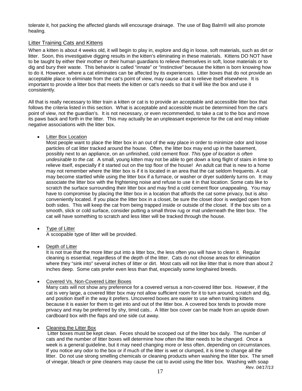tolerate it, hot packing the affected glands will encourage drainage. The use of Bag Balm® will also promote healing.

## Litter Training Cats and Kittens

When a kitten is about 4 weeks old, it will begin to play in, explore and dig in loose, soft materials, such as dirt or litter. Soon, this investigative digging results in the kitten's eliminating in these materials. Kittens DO NOT have to be taught by either their mother or their human guardians to relieve themselves in soft, loose materials or to dig and bury their waste. This behavior is called "innate" or "instinctive" because the kitten is born knowing how to do it. However, where a cat eliminates can be affected by its experiences. Litter boxes that do not provide an acceptable place to eliminate from the cat's point of view, may cause a cat to relieve itself elsewhere. It is important to provide a litter box that meets the kitten or cat's needs so that it will like the box and use it consistently.

All that is really necessary to litter train a kitten or cat is to provide an acceptable and accessible litter box that follows the criteria listed in this section. What is acceptable and accessible must be determined from the cat's point of view, not the guardian's. It is not necessary, or even recommended, to take a cat to the box and move its paws back and forth in the litter. This may actually be an unpleasant experience for the cat and may initiate negative associations with the litter box.

#### • Litter Box Location

Most people want to place the litter box in an out of the way place in order to minimize odor and loose particles of cat litter tracked around the house. Often, the litter box may end up in the basement, possibly next to an appliance, on an unfinished, cold cement floor*. This type of location is often undesirable to the cat.* A small, young kitten may not be able to get down a long flight of stairs in time to relieve itself, especially if it started out on the top floor of the house! An adult cat that is new to a home may not remember where the litter box is if it is located in an area that the cat seldom frequents. A cat may become startled while using the litter box if a furnace, or washer or dryer suddenly turns on. It may associate the litter box with the frightening noise and refuse to use it in that location. Some cats like to scratch the surface surrounding their litter box and may find a cold cement floor unappealing. You may have to compromise by placing the litter box in a location that affords the cat some privacy, but is also conveniently located. If you place the litter box in a closet, be sure the closet door is wedged open from both sides. This will keep the cat from being trapped inside or outside of the closet. If the box sits on a smooth, slick or cold surface, consider putting a small throw rug or mat underneath the litter box. The cat will have something to scratch and less litter will be tracked through the house.

## • Type of Litter

A scoopable type of litter will be provided.

#### Depth of Litter

It is not true that the more litter put into a litter box, the less often you will have to clean it. Regular cleaning is essential, regardless of the depth of the litter. Cats do not choose areas for elimination where they "sink into" several inches of litter or dirt. Most cats will not like litter that is more than about 2 inches deep. Some cats prefer even less than that, especially some longhaired breeds.

#### • Covered Vs. Non-Covered Litter Boxes

Many cats will not show any preference for a covered versus a non-covered litter box. However, if the cat is very large, a covered litter box may not allow sufficient room for it to turn around, scratch and dig, and position itself in the way it prefers. Uncovered boxes are easier to use when training kittens because it is easier for them to get into and out of the litter box. A covered box tends to provide more privacy and may be preferred by shy, timid cats.. A litter box cover can be made from an upside down cardboard box with the flaps and one side cut away.

#### • Cleaning the Litter Box

*Rev. 04/17/13* Litter boxes must be kept clean. Feces should be scooped out of the litter box daily. The number of cats and the number of litter boxes will determine how often the litter needs to be changed. Once a week is a general guideline, but it may need changing more or less often, depending on circumstances. If you notice any odor to the box or if much of the litter is wet or clumped, it is time to change all the litter. Do not use strong smelling chemicals or cleaning products when washing the litter box. The smell of vinegar, bleach or pine cleaners may cause the cat to avoid using the litter box. Washing with soap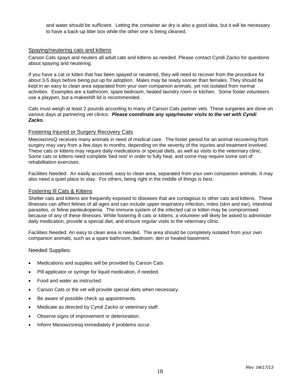and water should be sufficient. Letting the container air dry is also a good idea, but it will be necessary to have a back-up litter box while the other one is being cleaned.

# Spaying/neutering cats and kittens

Carson Cats spays and neuters all adult cats and kittens as needed. Please contact Cyndi Zacko for questions about spaying and neutering.

If you have a cat or kitten that has been spayed or neutered, they will need to recover from the procedure for about 3-5 days before being put up for adoption. Males may be ready sooner than females. They should be kept in an easy to clean area separated from your own companion animals, yet not isolated from normal activities. Examples are a bathroom, spare bedroom, heated laundry room or kitchen. Some foster volunteers use a playpen, but a makeshift lid is recommended.

Cats must weigh at least 2 pounds according to many of Carson Cats partner vets. These surgeries are done on various days at partnering vet clinics. *Please coordinate any spay/neuter visits to the vet with Cyndi Zacko.*

## Fostering Injured or Surgery Recovery Cats

MeeowzresQ receives many animals in need of medical care. The foster period for an animal recovering from surgery may vary from a few days to months, depending on the severity of the injuries and treatment involved. These cats or kittens may require daily medications or special diets, as well as visits to the veterinary clinic. Some cats or kittens need complete 'bed rest' in order to fully heal, and some may require some sort of rehabilitation exercises.

Facilities Needed: An easily accessed, easy to clean area, separated from your own companion animals. It may also need a quiet place to stay. For others, being right in the middle of things is best.

#### Fostering Ill Cats & Kittens

Shelter cats and kittens are frequently exposed to diseases that are contagious to other cats and kittens. These illnesses can affect felines of all ages and can include upper respiratory infection, mites (skin and ear), intestinal parasites, or feline panleukopenia. The immune system of the infected cat or kitten may be compromised because of any of these illnesses. While fostering ill cats or kittens, a volunteer will likely be asked to administer daily medication, provide a special diet, and ensure regular visits to the veterinary clinic.

Facilities Needed: An easy to clean area is needed. The area should be completely isolated from your own companion animals, such as a spare bathroom, bedroom, den or heated basement.

#### Needed Supplies:

- Medications and supplies will be provided by Carson Cats
- Pill applicator or syringe for liquid medication, if needed.
- Food and water as instructed.
- Carson Cats or the vet will provide special diets when necessary.
- Be aware of possible check up appointments.
- Medicate as directed by Cyndi Zacko or veterinary staff.
- Observe signs of improvement or deterioration.
- Inform Meoowzsresq immediately if problems occur.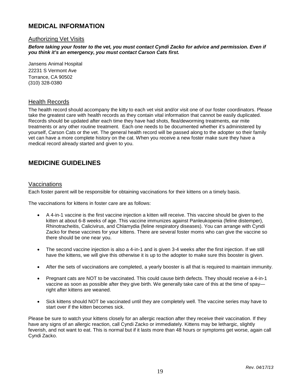# **MEDICAL INFORMATION**

# Authorizing Vet Visits

*Before taking your foster to the vet, you must contact Cyndi Zacko for advice and permission. Even if you think it's an emergency, you must contact Carson Cats first.* 

Jansens Animal Hospital 22231 S Vermont Ave Torrance, CA 90502 (310) 328-0380

#### Health Records

The health record should accompany the kitty to each vet visit and/or visit one of our foster coordinators. Please take the greatest care with health records as they contain vital information that cannot be easily duplicated. Records should be updated after each time they have had shots, flea/deworming treatments, ear mite treatments or any other routine treatment. Each one needs to be documented whether it's administered by yourself, Carson Cats or the vet. The general health record will be passed along to the adopter so their family vet can have a more complete history on the cat. When you receive a new foster make sure they have a medical record already started and given to you.

# **MEDICINE GUIDELINES**

## Vaccinations

Each foster parent will be responsible for obtaining vaccinations for their kittens on a timely basis.

The vaccinations for kittens in foster care are as follows:

- A 4-in-1 vaccine is the first vaccine injection a kitten will receive. This vaccine should be given to the kitten at about 6-8 weeks of age. This vaccine immunizes against Panleukopenia (feline distemper), Rhinotracheitis, Calicivirus, and Chlamydia (feline respiratory diseases). You can arrange with Cyndi Zacko for these vaccines for your kittens. There are several foster moms who can give the vaccine so there should be one near you.
- The second vaccine injection is also a 4-in-1 and is given 3-4 weeks after the first injection. If we still have the kittens, we will give this otherwise it is up to the adopter to make sure this booster is given.
- After the sets of vaccinations are completed, a yearly booster is all that is required to maintain immunity.
- Pregnant cats are NOT to be vaccinated. This could cause birth defects. They should receive a 4-in-1 vaccine as soon as possible after they give birth. We generally take care of this at the time of spay right after kittens are weaned.
- Sick kittens should NOT be vaccinated until they are completely well. The vaccine series may have to start over if the kitten becomes sick.

Please be sure to watch your kittens closely for an allergic reaction after they receive their vaccination. If they have any signs of an allergic reaction, call Cyndi Zacko or immediately. Kittens may be lethargic, slightly feverish, and not want to eat. This is normal but if it lasts more than 48 hours or symptoms get worse, again call Cyndi Zacko.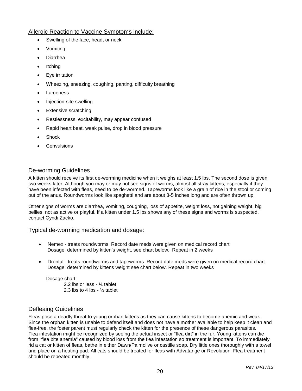# Allergic Reaction to Vaccine Symptoms include:

- Swelling of the face, head, or neck
- Vomiting
- Diarrhea
- Itching
- Eye irritation
- Wheezing, sneezing, coughing, panting, difficulty breathing
- Lameness
- Injection-site swelling
- **Extensive scratching**
- Restlessness, excitability, may appear confused
- Rapid heart beat, weak pulse, drop in blood pressure
- Shock
- **Convulsions**

# De-worming Guidelines

A kitten should receive its first de-worming medicine when it weighs at least 1.5 lbs. The second dose is given two weeks later. Although you may or may not see signs of worms, almost all stray kittens, especially if they have been infected with fleas, need to be de-wormed. Tapeworms look like a grain of rice in the stool or coming out of the anus. Roundworms look like spaghetti and are about 3-5 inches long and are often thrown up.

Other signs of worms are diarrhea, vomiting, coughing, loss of appetite, weight loss, not gaining weight, big bellies, not as active or playful. If a kitten under 1.5 lbs shows any of these signs and worms is suspected, contact Cyndi Zacko.

## Typical de-worming medication and dosage:

- Nemex treats roundworms. Record date meds were given on medical record chart Dosage: determined by kitten's weight, see chart below. Repeat in 2 weeks
- Drontal treats roundworms and tapeworms. Record date meds were given on medical record chart. Dosage: determined by kittens weight see chart below. Repeat in two weeks

Dosage chart: 2.2 lbs or less - ¼ tablet 2.3 lbs to 4 lbs -  $\frac{1}{2}$  tablet

# Defleaing Guidelines

Fleas pose a deadly threat to young orphan kittens as they can cause kittens to become anemic and weak. Since the orphan kitten is unable to defend itself and does not have a mother available to help keep it clean and flea-free, the foster parent must regularly check the kitten for the presence of these dangerous parasites. Flea infestation might be recognized by seeing the actual insect or "flea dirt" in the fur. Young kittens can die from "flea bite anemia" caused by blood loss from the flea infestation so treatment is important. To immediately rid a cat or kitten of fleas, bathe in either Dawn/Palmolive or castille soap. Dry little ones thoroughly with a towel and place on a heating pad. All cats should be treated for fleas with Advatange or Revolution. Flea treatment should be repeated monthly.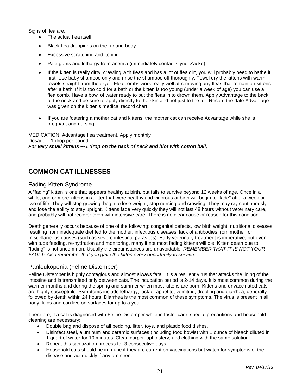Signs of flea are:

- The actual flea itself
- Black flea droppings on the fur and body
- Excessive scratching and itching
- Pale gums and lethargy from anemia (immediately contact Cyndi Zacko)
- If the kitten is really dirty, crawling with fleas and has a lot of flea dirt, you will probably need to bathe it first. Use baby shampoo only and rinse the shampoo off thoroughly. Towel dry the kittens with warm towels straight from the dryer. Flea combs work really well at removing any fleas that remain on kittens after a bath. If it is too cold for a bath or the kitten is too young (under a week of age) you can use a flea comb. Have a bowl of water ready to put the fleas in to drown them. Apply Advantage to the back of the neck and be sure to apply directly to the skin and not just to the fur. Record the date Advantage was given on the kitten's medical record chart.
- If you are fostering a mother cat and kittens, the mother cat can receive Advantage while she is pregnant and nursing.

MEDICATION: Advantage flea treatment. Apply monthly Dosage: 1 drop per pound *For very small kittens ---1 drop on the back of neck and blot with cotton ball,*

# **COMMON CAT ILLNESSES**

# Fading Kitten Syndrome

A "fading" kitten is one that appears healthy at birth, but fails to survive beyond 12 weeks of age. Once in a while, one or more kittens in a litter that were healthy and vigorous at birth will begin to "fade" after a week or two of life. They will stop growing; begin to lose weight, stop nursing and crawling. They may cry continuously and lose the ability to stay upright. Kittens fade very quickly they will not last 48 hours without veterinary care, and probably will not recover even with intensive care. There is no clear cause or reason for this condition.

Death generally occurs because of one of the following: congenital defects, low birth weight, nutritional diseases resulting from inadequate diet fed to the mother, infectious diseases, lack of antibodies from mother, or miscellaneous causes (such as severe intestinal parasites). Early veterinary treatment is imperative, but even with tube feeding, re-hydration and monitoring, many if not most fading kittens will die. Kitten death due to "fading" is not uncommon. Usually the circumstances are unavoidable. *REMEMBER THAT IT IS NOT YOUR FAULT! Also remember that you gave the kitten every opportunity to survive.* 

# Panleukopenia (Feline Distemper)

Feline Distemper is highly contagious and almost always fatal. It is a resilient virus that attacks the lining of the intestine and is transmitted only between cats. The incubation period is 2-14 days. It is most common during the warmer months and during the spring and summer when most kittens are born. Kittens and unvaccinated cats are highly susceptible. Symptoms include lethargy, lack of appetite, vomiting, drooling and diarrhea, generally followed by death within 24 hours. Diarrhea is the most common of these symptoms. The virus is present in all body fluids and can live on surfaces for up to a year.

Therefore, if a cat is diagnosed with Feline Distemper while in foster care, special precautions and household cleaning are necessary:

- Double bag and dispose of all bedding, litter, toys, and plastic food dishes.
- Disinfect steel, aluminum and ceramic surfaces (including food bowls) with 1 ounce of bleach diluted in 1 quart of water for 10 minutes. Clean carpet, upholstery, and clothing with the same solution.
- Repeat this sanitization process for 3 consecutive days.
- Household cats should be immune if they are current on vaccinations but watch for symptoms of the disease and act quickly if any are seen.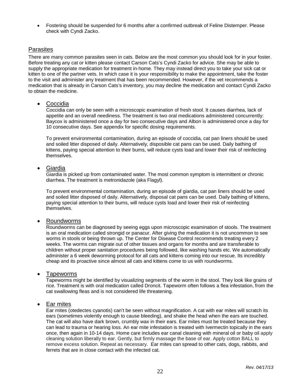• Fostering should be suspended for 6 months after a confirmed outbreak of Feline Distemper. Please check with Cyndi Zacko.

# **Parasites**

There are many common parasites seen in cats. Below are the most common you should look for in your foster. Before treating any cat or kitten please contact Carson Cats's Cyndi Zacko for advice. She may be able to supply the appropriate medication for treatment in-home. They may instead direct you to take your sick cat or kitten to one of the partner vets. In which case it is your responsibility to make the appointment, take the foster to the visit and administer any treatment that has been recommended. However, if the vet recommends a medication that is already in Carson Cats's inventory, you may decline the medication and contact Cyndi Zacko to obtain the medicine.

#### • Coccidia

Coccidia can only be seen with a microscopic examination of fresh stool. It causes diarrhea, lack of appetite and an overall neediness. The treatment is two oral medications administered concurrently: Baycox is administered once a day for two consecutive days and Albon is administered once a day for 10 consecutive days. See appendix for specific dosing requirements.

To prevent environmental contamination, during an episode of coccidia, cat pan liners should be used and soiled litter disposed of daily. Alternatively, disposible cat pans can be used. Daily bathing of kittens, paying special attention to their bums, will reduce cysts load and lower their risk of reinfecting themselves.

## • Giardia

Giardia is picked up from contaminated water. The most common symptom is intermittent or chronic diarrhea. The treatment is metronidazole (aka Flagyl).

To prevent environmental contamination, during an episode of giardia, cat pan liners should be used and soiled litter disposed of daily. Alternatively, disposal cat pans can be used. Daily bathing of kittens, paying special attention to their bums, will reduce cysts load and lower their risk of reinfecting themselves.

## • Roundworms

Roundworms can be diagnosed by seeing eggs upon microscopic examination of stools. The treatment is an oral medication called strongid or panacur. After giving the medication it is not uncommon to see worms in stools or being thrown up. The Center for Disease Control recommends treating every 2 weeks. The worms can migrate out of other tissues and organs for months and are transferable to children without proper sanitation procedures being followed, like washing hands etc. We automatically administer a 6 week deworming protocol for all cats and kittens coming into our rescue. Its incredibly cheap and its proactive since almost all cats and kittens come to us with roundworms.

## • Tapeworms

Tapeworms might be identified by visualizing segments of the worm in the stool. They look like grains of rice. Treatment is with oral medication called Droncit. Tapeworm often follows a flea infestation, from the cat swallowing fleas and is not considered life threatening.

## • Ear mites

Ear mites (otedectes cyanotis) can't be seen without magnification. A cat with ear mites will scratch its ears (sometimes violently enough to cause bleeding), and shake the head when the ears are touched. The cat will also have dark brown, crumbly wax in their ears. Ear mites must be treated because they can lead to trauma or hearing loss. An ear mite infestation is treated with Ivermectin topically in the ears once, then again in 10-14 days. Home care includes ear canal cleaning with mineral oil or baby oil apply cleaning solution liberally to ear. Gently, but firmly massage the base of ear. Apply cotton BALL to remove excess solution. Repeat as necessary. Ear mites can spread to other cats, dogs, rabbits, and ferrets that are in close contact with the infected cat.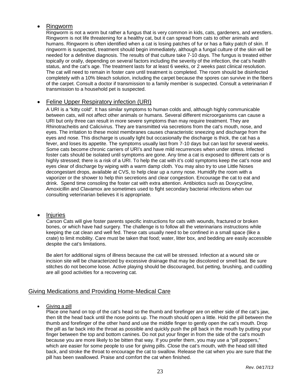# • Ringworm

Ringworm is not a worm but rather a fungus that is very common in kids, cats, gardeners, and wrestlers. Ringworm is not life threatening for a healthy cat, but it can spread from cats to other animals and humans. Ringworm is often identified when a cat is losing patches of fur or has a flaky patch of skin. If ringworm is suspected, treatment should begin immediately, although a fungal culture of the skin will be needed for a definitive diagnosis. The results of that culture take 7-10 days. The fungus is treated either topically or orally, depending on several factors including the severity of the infection, the cat's health status, and the cat's age. The treatment lasts for at least 6 weeks, or 2 weeks past clinical resolution. The cat will need to remain in foster care until treatment is completed. The room should be disinfected completely with a 10% bleach solution, including the carpet because the spores can survive in the fibers of the carpet. Consult a doctor if transmission to a family member is suspected. Consult a veterinarian if transmission to a household pet is suspected.

# • Feline Upper Respiratory infection (URI)

A URI is a "kitty cold". It has similar symptoms to human colds and, although highly communicable between cats, will not affect other animals or humans. Several different microorganisms can cause a URI but only three can result in more severe symptoms than may require treatment. They are Rhinotracheitis and Calicivirus. They are transmitted via secretions from the cat's mouth, nose, and eyes. The irritation to these moist membranes causes characteristic sneezing and discharge from the eyes and nose. This discharge is usually light but occasionally the discharge is thick, the cat has a fever, and loses its appetite. The symptoms usually last from 7-10 days but can last for several weeks. Some cats become chronic carriers of URI's and have mild recurrences when under stress. Infected foster cats should be isolated until symptoms are gone. Any time a cat is exposed to different cats or is highly stressed; there is a risk of a URI. To help the cat with it's cold symptoms keep the cat's nose and eyes clear of discharge by wiping with a warm damp cloth. You may also try to use Little Noses decongestant drops, available at CVS, to help clear up a runny nose. Humidify the room with a vaporizer or the shower to help thin secretions and clear congestion. Encourage the cat to eat and drink. Spend time consoling the foster cat with extra attention. Antibiotics such as Doxycycline, Amoxicillin and Clavamox are sometimes used to fight secondary bacterial infections when our consulting veterinarian believes it is appropriate.

## • Injuries

Carson Cats will give foster parents specific instructions for cats with wounds, fractured or broken bones, or which have had surgery. The challenge is to follow all the veterinarians instructions while keeping the cat clean and well fed. These cats usually need to be confined in a small space (like a crate) to limit mobility. Care must be taken that food; water, litter box, and bedding are easily accessible despite the cat's limitations.

Be alert for additional signs of illness because the cat will be stressed. Infection at a wound site or incision site will be characterized by excessive drainage that may be discolored or smell bad. Be sure stitches do not become loose. Active playing should be discouraged, but petting, brushing, and cuddling are all good activities for a recovering cat.

# Giving Medications and Providing Home-Medical Care

## • Giving a pill

Place one hand on top of the cat's head so the thumb and forefinger are on either side of the cat's jaw, then tilt the head back until the nose points up. The mouth should open a little. Hold the pill between the thumb and forefinger of the other hand and use the middle finger to gently open the cat's mouth. Drop the pill as far back into the throat as possible and quickly push the pill back in the mouth by putting your finger between the top and bottom canines. Do not put your finger in from the side of the cat's mouth because you are more likely to be bitten that way. If you prefer them, you may use a "pill poppers," which are easier for some people to use for giving pills. Close the cat's mouth, with the head still tilted back, and stroke the throat to encourage the cat to swallow. Release the cat when you are sure that the pill has been swallowed. Praise and comfort the cat when finished.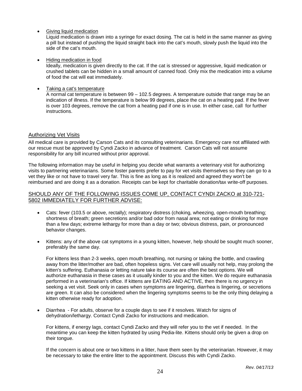• Giving liquid medication

Liquid medication is drawn into a syringe for exact dosing. The cat is held in the same manner as giving a pill but instead of pushing the liquid straight back into the cat's mouth, slowly push the liquid into the side of the cat's mouth.

• Hiding medication in food

Ideally, medication is given directly to the cat. If the cat is stressed or aggressive, liquid medication or crushed tablets can be hidden in a small amount of canned food. Only mix the medication into a volume of food the cat will eat immediately.

• Taking a cat's temperature

A normal cat temperature is between 99 – 102.5 degrees. A temperature outside that range may be an indication of illness. If the temperature is below 99 degrees, place the cat on a heating pad. If the fever is over 103 degrees, remove the cat from a heating pad if one is in use. In either case, call for further instructions.

## Authorizing Vet Visits

All medical care is provided by Carson Cats and its consulting veterinarians. Emergency care not affiliated with our rescue must be approved by Cyndi Zacko in advance of treatment. Carson Cats will not assume responsibility for any bill incurred without prior approval.

The following information may be useful in helping you decide what warrants a veterinary visit for authorizing visits to partnering veterinarians. Some foster parents prefer to pay for vet visits themselves so they can go to a vet they like or not have to travel very far. This is fine as long as it is realized and agreed they won't be reimbursed and are doing it as a donation. Receipts can be kept for charitable donation/tax write-off purposes.

## SHOULD ANY OF THE FOLLOWING ISSUES COME UP, CONTACT CYNDI ZACKO at 310-721- 5802 IMMEDIATELY FOR FURTHER ADVISE:

- Cats: fever (103.5 or above, rectally); respiratory distress (choking, wheezing, open-mouth breathing; shortness of breath; green secretions and/or bad odor from nasal area; not eating or drinking for more than a few days; extreme lethargy for more than a day or two; obvious distress, pain, or pronounced behavior changes.
- Kittens: any of the above cat symptoms in a young kitten, however, help should be sought much sooner, preferably the same day.

For kittens less than 2-3 weeks, open mouth breathing, not nursing or taking the bottle, and crawling away from the litter/mother are bad, often hopeless signs. Vet care will usually not help, may prolong the kitten's suffering. Euthanasia or letting nature take its course are often the best options. We will authorize euthanasia in these cases as it usually kinder to you and the kitten. We do require euthanasia performed in a veterinarian's office. If kittens are EATING AND ACTIVE, then there is no urgency in seeking a vet visit. Seek only in cases when symptoms are lingering, diarrhea is lingering, or secretions are green. It can also be considered when the lingering symptoms seems to be the only thing delaying a kitten otherwise ready for adoption.

• Diarrhea - For adults, observe for a couple days to see if it resolves. Watch for signs of dehydration/lethargy. Contact Cyndi Zacko for instructions and medication.

For kittens, if energy lags, contact Cyndi Zacko and they will refer you to the vet if needed. In the meantime you can keep the kitten hydrated by using Pedia-lite. Kittens should only be given a drop on their tongue.

If the concern is about one or two kittens in a litter, have them seen by the veterinarian. However, it may be necessary to take the entire litter to the appointment. Discuss this with Cyndi Zacko.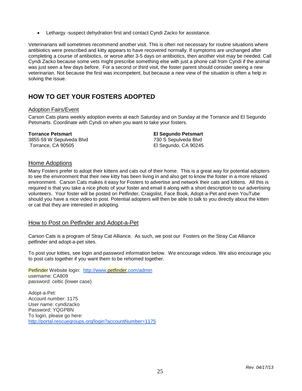• Lethargy -suspect dehydration first and contact Cyndi Zacko for assistance.

Veterinarians will sometimes recommend another visit. This is often not necessary for routine situations where antibiotics were prescribed and kitty appears to have recovered normally. If symptoms are unchanged after completing a course of antibiotics, or worse after 3-5 days on antibiotics, then another visit may be needed. Call Cyndi Zacko because some vets might prescribe something else with just a phone call from Cyndi if the animal was just seen a few days before. For a second or third visit, the foster parent should consider seeing a new veterinarian. Not because the first was incompetent, but because a new view of the situation is often a help in solving the issue.

# **HOW TO GET YOUR FOSTERS ADOPTED**

## Adoption Fairs/Event

Carson Cats plans weekly adoption events at each Saturday and on Sunday at the Torrance and El Segundo Petsmarts. Coordinate with Cyndi on when you want to take your fosters.

#### **Torrance Petsmart**

3855-59 W Sepulveda Blvd Torrance, CA 90505

**El Segundo Petsmart** 730 S Sepulveda Blvd El Segundo, CA 90245

# Home Adoptions

Many Fosters prefer to adopt their kittens and cats out of their home. This is a great way for potential adopters to see the environment that their new kitty has been living in and also get to know the foster in a more relaxed environment. Carson Cats makes it easy for Fosters to advertise and network their cats and kittens. All this is required is that you take a nice photo of your foster and email it along with a short description to our advertising volunteers. Your foster will be posted on Petfinder, Craigslist, Face Book, Adopt-a-Pet and even YouTube should you have a nice video to post. Potential adopters will then be able to talk to you directly about the kitten or cat that they are interested in adopting.

# How to Post on Petfinder and Adopt-a-Pet

Carson Cats is a program of Stray Cat Alliance. As such, we post our Fosters on the Stray Cat Alliance petfinder and adopt-a-pet sites.

To post your kitties, see login and password information below. We encourage videos. We also encourage you to post cats together if you want them to be rehomed together.

Petfinder Website login: <http://www.petfinder.com/admin> username: CA809 password: celtic (lower case)

Adopt-a-Pet: Account number: 1175 User name: cyndizacko Password: YQGPBN To login, please go here: <http://portal.rescuegroups.org/login?accountNumber=1175>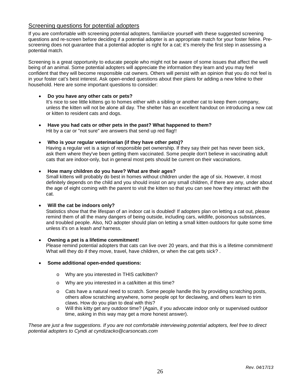# Screening questions for potential adopters

If you are comfortable with screening potential adopters, familiarize yourself with these suggested screening questions and re-screen before deciding if a potential adopter is an appropriate match for your foster feline. Prescreening does not guarantee that a potential adopter is right for a cat; it's merely the first step in assessing a potential match.

Screening is a great opportunity to educate people who might not be aware of some issues that affect the well being of an animal. Some potential adopters will appreciate the information they learn and you may feel confident that they will become responsible cat owners. Others will persist with an opinion that you do not feel is in your foster cat's best interest. Ask open-ended questions about their plans for adding a new feline to their household. Here are some important questions to consider:

#### • **Do you have any other cats or pets?**

It's nice to see little kittens go to homes either with a sibling or another cat to keep them company, unless the kitten will not be alone all day. The shelter has an excellent handout on introducing a new cat or kitten to resident cats and dogs.

- **Have you had cats or other pets in the past? What happened to them?**  Hit by a car or "not sure" are answers that send up red flag!!
- **Who is your regular veterinarian (if they have other pets)?**

Having a regular vet is a sign of responsible pet ownership. If they say their pet has never been sick, ask them where they've been getting them vaccinated. Some people don't believe in vaccinating adult cats that are indoor-only, but in general most pets should be current on their vaccinations.

#### • **How many children do you have? What are their ages?**

Small kittens will probably do best in homes without children under the age of six. However, it most definitely depends on the child and you should insist on any small children, if there are any, under about the age of eight coming with the parent to visit the kitten so that you can see how they interact with the cat.

#### • **Will the cat be indoors only?**

Statistics show that the lifespan of an indoor cat is doubled! If adopters plan on letting a cat out, please remind them of all the many dangers of being outside, including cars, wildlife, poisonous substances, and troubled people. Also, NO adopter should plan on letting a small kitten outdoors for quite some time unless it's on a leash *and* harness.

#### • **Owning a pet is a lifetime commitment!**

Please remind potential adopters that cats can live over 20 years, and that this is a lifetime commitment! What will they do if they move, travel, have children, or when the cat gets sick?.

#### • **Some additional open-ended questions:**

- o Why are you interested in THIS cat/kitten?
- o Why are you interested in a cat/kitten at this time?
- $\circ$  Cats have a natural need to scratch. Some people handle this by providing scratching posts, others allow scratching anywhere, some people opt for declawing, and others learn to trim claws. How do you plan to deal with this?
- o Will this kitty get any outdoor time? (Again, if you advocate indoor only or supervised outdoor time, asking in this way may get a more honest answer).

*These are just a few suggestions. If you are not comfortable interviewing potential adopters, feel free to direct potential adopters to Cyndi at cyndizacko@carsoncats.com*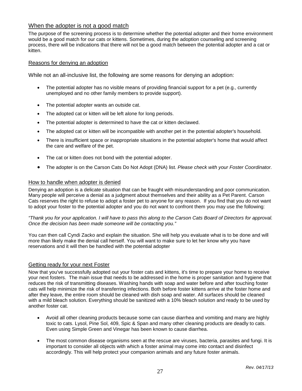# When the adopter is not a good match

The purpose of the screening process is to determine whether the potential adopter and their home environment would be a good match for our cats or kittens. Sometimes, during the adoption counseling and screening process, there will be indications that there will not be a good match between the potential adopter and a cat or kitten.

#### Reasons for denying an adoption

While not an all-inclusive list, the following are some reasons for denying an adoption:

- The potential adopter has no visible means of providing financial support for a pet (e.g., currently unemployed and no other family members to provide support).
- The potential adopter wants an outside cat.
- The adopted cat or kitten will be left alone for long periods.
- The potential adopter is determined to have the cat or kitten declawed.
- The adopted cat or kitten will be incompatible with another pet in the potential adopter's household.
- There is insufficient space or inappropriate situations in the potential adopter's home that would affect the care and welfare of the pet.
- The cat or kitten does not bond with the potential adopter.
- The adopter is on the Carson Cats Do Not Adopt (DNA) list. *Please check with your Foster Coordinator.*

#### How to handle when adopter is denied

Denying an adoption is a delicate situation that can be fraught with misunderstanding and poor communication. Many people will perceive a denial as a judgment about themselves and their ability as a Pet Parent. Carson Cats reserves the right to refuse to adopt a foster pet to anyone for any reason. If you find that you do not want to adopt your foster to the potential adopter and you do not want to confront them you may use the following:

*"Thank you for your application. I will have to pass this along to the Carson Cats Board of Directors for approval. Once the decision has been made someone will be contacting you."*

You can then call Cyndi Zacko and explain the situation. She will help you evaluate what is to be done and will more than likely make the denial call herself. You will want to make sure to let her know why you have reservations and it will then be handled with the potential adopter

## Getting ready for your next Foster

Now that you've successfully adopted out your foster cats and kittens, it's time to prepare your home to receive your next fosters. The main issue that needs to be addressed in the home is proper sanitation and hygiene that reduces the risk of transmitting diseases. Washing hands with soap and water before and after touching foster cats will help minimize the risk of transferring infections. Both before foster kittens arrive at the foster home and after they leave, the entire room should be cleaned with dish soap and water. All surfaces should be cleaned with a mild bleach solution. Everything should be sanitized with a 10% bleach solution and ready to be used by another foster cat.

- Avoid all other cleaning products because some can cause diarrhea and vomiting and many are highly toxic to cats. Lysol, Pine Sol, 409, Spic & Span and many other cleaning products are deadly to cats. Even using Simple Green and Vinegar has been known to cause diarrhea.
- The most common disease organisms seen at the rescue are viruses, bacteria, parasites and fungi. It is important to consider all objects with which a foster animal may come into contact and disinfect accordingly. This will help protect your companion animals and any future foster animals.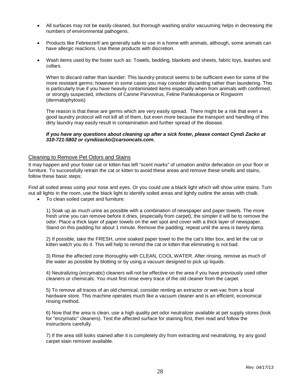- All surfaces may not be easily cleaned, but thorough washing and/or vacuuming helps in decreasing the numbers of environmental pathogens.
- Products like Febreeze® are generally safe to use in a home with animals, although, some animals can have allergic reactions. Use these products with discretion.
- Wash items used by the foster such as: Towels, bedding, blankets and sheets, fabric toys, leashes and collars.

When to discard rather than launder: This laundry-protocol seems to be sufficient even for some of the more resistant germs; however in some cases you may consider discarding rather than laundering. This is particularly true if you have heavily contaminated items especially when from animals with confirmed, or strongly suspected, infections of Canine Parvovirus, Feline Panleukopenia or Ringworm (dermatophytosis)

The reason is that these are germs which are very easily spread. There might be a risk that even a good laundry protocol will not kill all of them, but even more because the transport and handling of this dirty laundry may easily result in contamination and further spread of the disease.

#### *If you have any questions about cleaning up after a sick foster, please contact Cyndi Zacko at 310-721-5802 or cyndizacko@carsoncats.com.*

#### Cleaning to Remove Pet Odors and Stains

It may happen and your foster cat or kitten has left "scent marks" of urination and/or defecation on your floor or furniture. To successfully retrain the cat or kitten to avoid these areas and remove these smells and stains, follow these basic steps:

Find all soiled areas using your nose and eyes. Or you could use a black light which will show urine stains. Turn out all lights in the room, use the black light to identify soiled areas and lightly outline the areas with chalk.

• To clean soiled carpet and furniture:

1) Soak up as much urine as possible with a combination of newspaper and paper towels. The more fresh urine you can remove before it dries, (especially from carpet), the simpler it will be to remove the odor. Place a thick layer of paper towels on the wet spot and cover with a thick layer of newspaper. Stand on this padding for about 1 minute. Remove the padding; repeat until the area is barely damp.

2) If possible, take the FRESH, urine soaked paper towel to the the cat's litter box, and let the cat or kitten watch you do it. This will help to remind the cat or kitten that eliminating is not bad.

3) Rinse the affected zone thoroughly with CLEAN, COOL WATER. After rinsing, remove as much of the water as possible by blotting or by using a vacuum designed to pick up liquids.

4) Neutralizing (enzymatic) cleaners will not be effective on the area if you have previously used other cleaners or chemicals. You must first rinse every trace of the old cleaner from the carpet.

5) To remove all traces of an old chemical, consider renting an extractor or wet-vac from a local hardware store. This machine operates much like a vacuum cleaner and is an efficient, economical rinsing method.

6) Now that the area is clean, use a high quality pet odor neutralizer available at pet supply stores (look for "enzymatic" cleaners). Test the affected surface for staining first, then read and follow the instructions carefully.

7) If the area still looks stained after it is completely dry from extracting and neutralizing, try any good carpet stain remover available.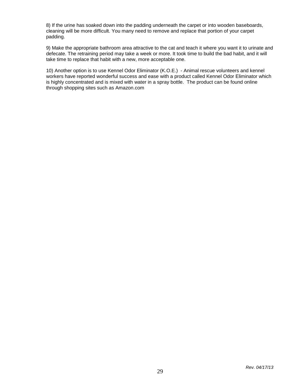8) If the urine has soaked down into the padding underneath the carpet or into wooden baseboards, cleaning will be more difficult. You many need to remove and replace that portion of your carpet padding.

9) Make the appropriate bathroom area attractive to the cat and teach it where you want it to urinate and defecate. The retraining period may take a week or more. It took time to build the bad habit, and it will take time to replace that habit with a new, more acceptable one.

10) Another option is to use Kennel Odor Eliminator (K.O.E.) - Animal rescue volunteers and kennel workers have reported wonderful success and ease with a product called Kennel Odor Eliminator which is highly concentrated and is mixed with water in a spray bottle. The product can be found online through shopping sites such as Amazon.com